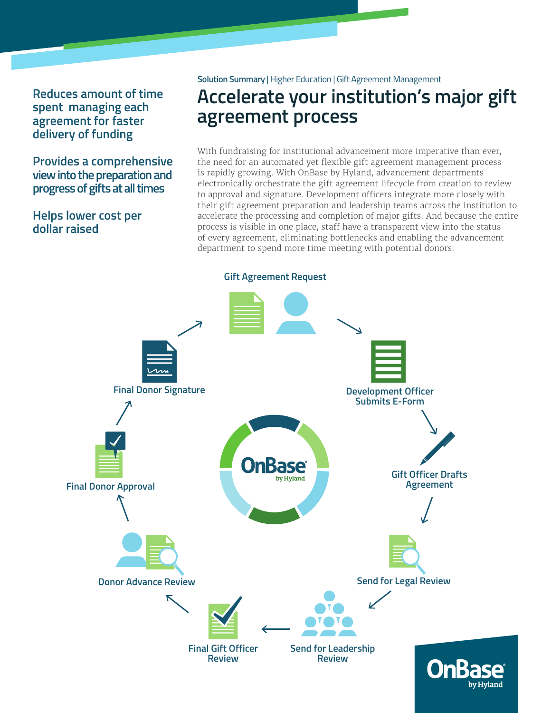**Reduces amount of time spent managing each agreement for faster delivery of funding**

**Provides a comprehensive view into the preparation and progress of gifts at all times**

# **Helps lower cost per dollar raised**

**Solution Summary** | Higher Education | Gift Agreement Management

# **Accelerate your institution's major gift agreement process**

With fundraising for institutional advancement more imperative than ever, the need for an automated yet flexible gift agreement management process is rapidly growing. With OnBase by Hyland, advancement departments electronically orchestrate the gift agreement lifecycle from creation to review to approval and signature. Development officers integrate more closely with their gift agreement preparation and leadership teams across the institution to accelerate the processing and completion of major gifts. And because the entire process is visible in one place, staff have a transparent view into the status of every agreement, eliminating bottlenecks and enabling the advancement department to spend more time meeting with potential donors.

**Gift Agreement Request Final Donor SignatureDevelopment Officer Submits E-Form Gift Officer Drafts**  by Hyland **Final Donor Approval Agreement Send for Legal Review Donor Advance Review Final Gift Officer Send for Leadership Review Review**